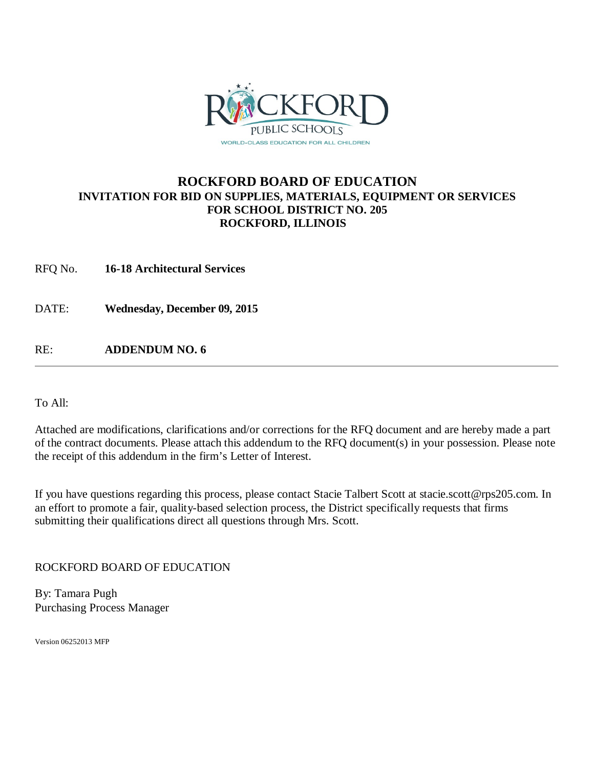

#### **ROCKFORD BOARD OF EDUCATION INVITATION FOR BID ON SUPPLIES, MATERIALS, EQUIPMENT OR SERVICES FOR SCHOOL DISTRICT NO. 205 ROCKFORD, ILLINOIS**

RFQ No. **16-18 Architectural Services** 

DATE: **Wednesday, December 09, 2015**

RE: **ADDENDUM NO. 6**

To All:

Attached are modifications, clarifications and/or corrections for the RFQ document and are hereby made a part of the contract documents. Please attach this addendum to the RFQ document(s) in your possession. Please note the receipt of this addendum in the firm's Letter of Interest.

If you have questions regarding this process, please contact Stacie Talbert Scott [at stacie.scott@rps205.com.](mailto:stacie.scott@rps205.com) In an effort to promote a fair, quality-based selection process, the District specifically requests that firms submitting their qualifications direct all questions through Mrs. Scott.

ROCKFORD BOARD OF EDUCATION

By: Tamara Pugh Purchasing Process Manager

Version 06252013 MFP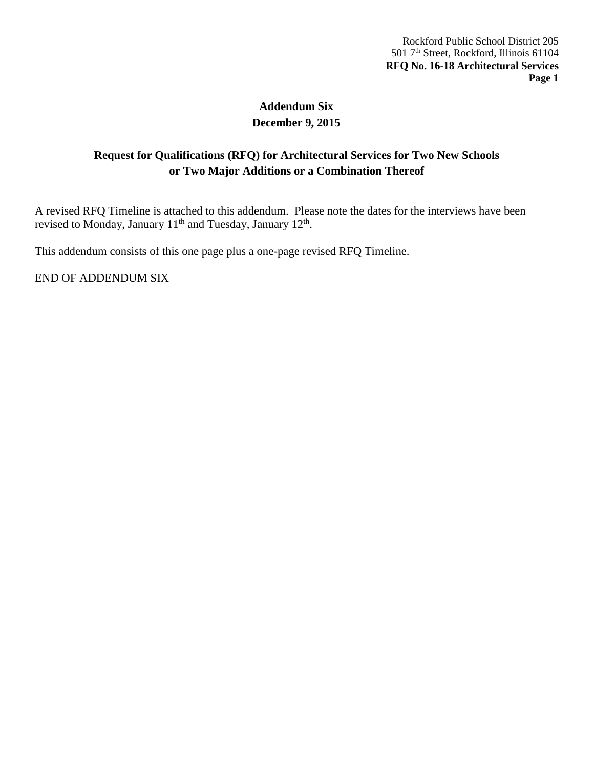# **Addendum Six December 9, 2015**

## **Request for Qualifications (RFQ) for Architectural Services for Two New Schools or Two Major Additions or a Combination Thereof**

A revised RFQ Timeline is attached to this addendum. Please note the dates for the interviews have been revised to Monday, January  $11<sup>th</sup>$  and Tuesday, January  $12<sup>th</sup>$ .

This addendum consists of this one page plus a one-page revised RFQ Timeline.

END OF ADDENDUM SIX